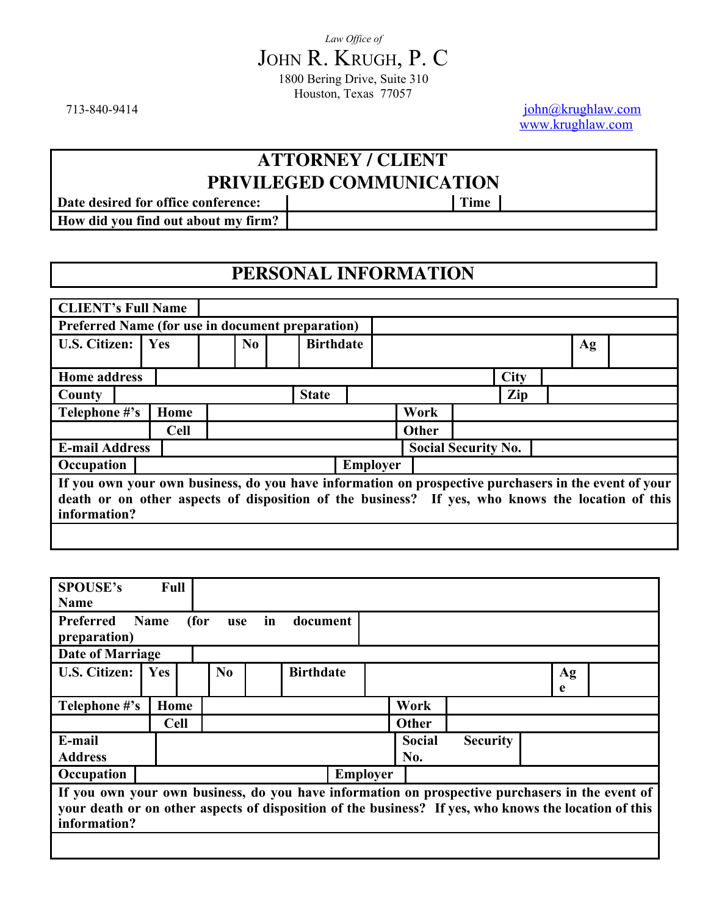713-840-9414 [john@krughlaw.com](mailto:john@krughlaw.com) [www.krughlaw.com](http://www.krughlaw.com/)

# **ATTORNEY / CLIENT PRIVILEGED COMMUNICATION**<br> **prime** | Time

**Date desired for office conference: How did you find out about my firm?**

# **PERSONAL INFORMATION**

| <b>CLIENT's Full Name</b>                                                                                                                                                                                                |             |          |                  |                 |              |                            |             |    |  |
|--------------------------------------------------------------------------------------------------------------------------------------------------------------------------------------------------------------------------|-------------|----------|------------------|-----------------|--------------|----------------------------|-------------|----|--|
| Preferred Name (for use in document preparation)                                                                                                                                                                         |             |          |                  |                 |              |                            |             |    |  |
| <b>U.S. Citizen:</b>                                                                                                                                                                                                     | Yes         | $\bf No$ | <b>Birthdate</b> |                 |              |                            |             | Ag |  |
|                                                                                                                                                                                                                          |             |          |                  |                 |              |                            |             |    |  |
| <b>Home address</b>                                                                                                                                                                                                      |             |          |                  |                 |              |                            | <b>City</b> |    |  |
| County                                                                                                                                                                                                                   |             |          | <b>State</b>     |                 |              |                            | Zip         |    |  |
| Telephone #'s                                                                                                                                                                                                            | Home        |          |                  |                 | Work         |                            |             |    |  |
|                                                                                                                                                                                                                          | <b>Cell</b> |          |                  |                 | <b>Other</b> |                            |             |    |  |
| <b>E-mail Address</b>                                                                                                                                                                                                    |             |          |                  |                 |              | <b>Social Security No.</b> |             |    |  |
| Occupation                                                                                                                                                                                                               |             |          |                  | <b>Employer</b> |              |                            |             |    |  |
| If you own your own business, do you have information on prospective purchasers in the event of your<br>death or on other aspects of disposition of the business? If yes, who knows the location of this<br>information? |             |          |                  |                 |              |                            |             |    |  |
|                                                                                                                                                                                                                          |             |          |                  |                 |              |                            |             |    |  |

| <b>SPOUSE's</b>                                                                                                                                                                                                          | <b>Full</b> |                |                  |                 |               |                 |    |  |
|--------------------------------------------------------------------------------------------------------------------------------------------------------------------------------------------------------------------------|-------------|----------------|------------------|-----------------|---------------|-----------------|----|--|
| <b>Name</b>                                                                                                                                                                                                              |             |                |                  |                 |               |                 |    |  |
| Preferred<br>Name<br>(for<br>in<br>document<br>use<br>preparation)                                                                                                                                                       |             |                |                  |                 |               |                 |    |  |
| <b>Date of Marriage</b>                                                                                                                                                                                                  |             |                |                  |                 |               |                 |    |  |
| <b>U.S. Citizen:</b>                                                                                                                                                                                                     | <b>Yes</b>  | N <sub>0</sub> | <b>Birthdate</b> |                 |               |                 | Ag |  |
|                                                                                                                                                                                                                          |             |                |                  |                 |               |                 | e  |  |
| Telephone #'s                                                                                                                                                                                                            | Home        |                |                  |                 | Work          |                 |    |  |
|                                                                                                                                                                                                                          | <b>Cell</b> |                |                  |                 | Other         |                 |    |  |
| E-mail                                                                                                                                                                                                                   |             |                |                  |                 | <b>Social</b> | <b>Security</b> |    |  |
| <b>Address</b>                                                                                                                                                                                                           |             |                |                  |                 | No.           |                 |    |  |
| Occupation                                                                                                                                                                                                               |             |                |                  | <b>Employer</b> |               |                 |    |  |
| If you own your own business, do you have information on prospective purchasers in the event of<br>your death or on other aspects of disposition of the business? If yes, who knows the location of this<br>information? |             |                |                  |                 |               |                 |    |  |
|                                                                                                                                                                                                                          |             |                |                  |                 |               |                 |    |  |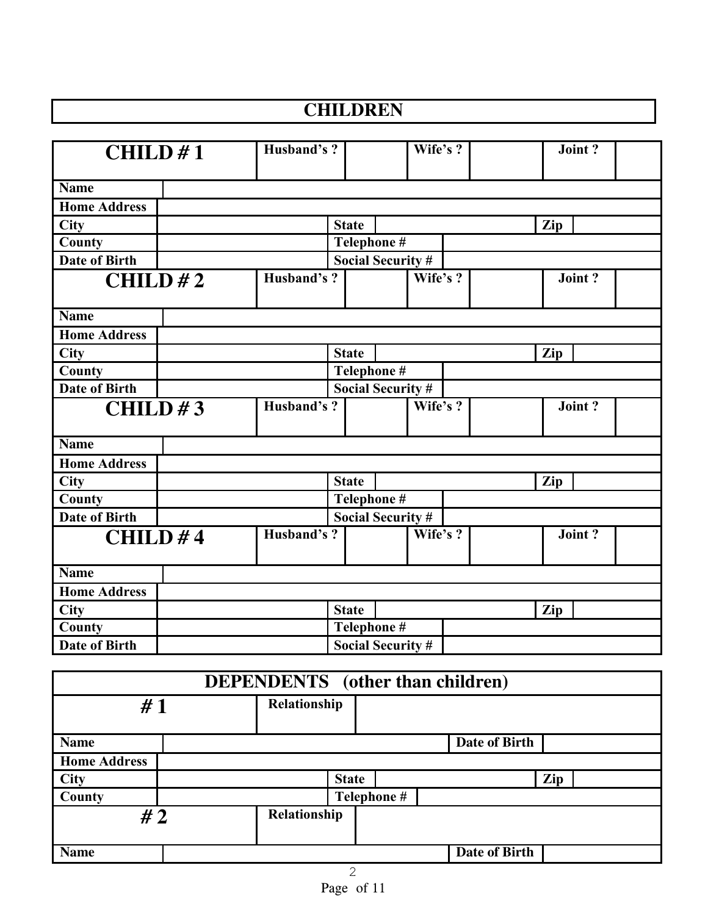# **CHILDREN**

| CHILD#1              | Husband's? |                          | Wife's ? | $\overline{\text{Joint}}$ ? |
|----------------------|------------|--------------------------|----------|-----------------------------|
| <b>Name</b>          |            |                          |          |                             |
| <b>Home Address</b>  |            |                          |          |                             |
| <b>City</b>          |            | <b>State</b>             |          | Zip                         |
| County               |            | Telephone #              |          |                             |
| <b>Date of Birth</b> |            | <b>Social Security #</b> |          |                             |
| CHILD#2              | Husband's? |                          | Wife's ? | Joint?                      |
| <b>Name</b>          |            |                          |          |                             |
| <b>Home Address</b>  |            |                          |          |                             |
| <b>City</b>          |            | <b>State</b>             |          | Zip                         |
| County               |            | Telephone #              |          |                             |
| <b>Date of Birth</b> |            | <b>Social Security #</b> |          |                             |
| CHILD#3              | Husband's? |                          | Wife's ? | Joint?                      |
| <b>Name</b>          |            |                          |          |                             |
| <b>Home Address</b>  |            |                          |          |                             |
| City                 |            | <b>State</b>             |          | Zip                         |
| County               |            | Telephone #              |          |                             |
| <b>Date of Birth</b> |            | <b>Social Security #</b> |          |                             |
| CHILD#4              | Husband's? |                          | Wife's ? | Joint?                      |
| <b>Name</b>          |            |                          |          |                             |
| <b>Home Address</b>  |            |                          |          |                             |
| <b>City</b>          |            | <b>State</b>             |          | Zip                         |
| County               |            | Telephone #              |          |                             |
| Date of Birth        |            | <b>Social Security #</b> |          |                             |

| <b>DEPENDENTS</b> (other than children) |              |              |                      |     |
|-----------------------------------------|--------------|--------------|----------------------|-----|
| #1                                      | Relationship |              |                      |     |
| <b>Name</b>                             |              |              | Date of Birth        |     |
| <b>Home Address</b>                     |              |              |                      |     |
| <b>City</b>                             |              | <b>State</b> |                      | Zip |
| County                                  |              | Telephone #  |                      |     |
| #2                                      | Relationship |              |                      |     |
| <b>Name</b>                             |              |              | <b>Date of Birth</b> |     |
|                                         |              | 2            |                      |     |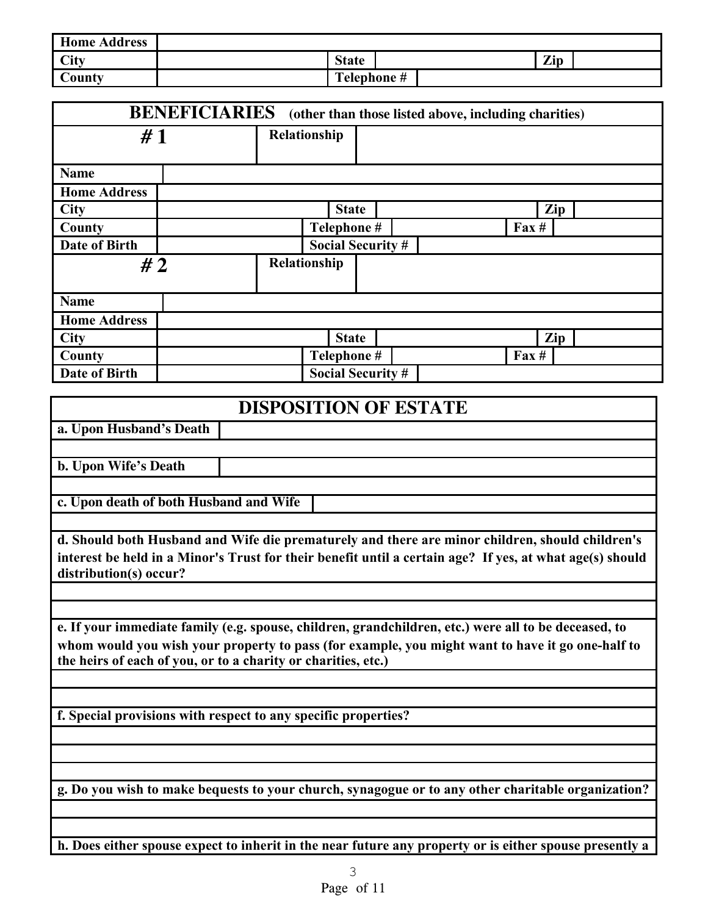| <b>Home Address</b> |              |             |     |  |
|---------------------|--------------|-------------|-----|--|
| <b>City</b>         | <b>State</b> |             | Zip |  |
| County              |              | Telephone # |     |  |

|                     | <b>BENEFICIARIES</b> (other than those listed above, including charities) |                          |                 |     |
|---------------------|---------------------------------------------------------------------------|--------------------------|-----------------|-----|
| #1                  | Relationship                                                              |                          |                 |     |
| <b>Name</b>         |                                                                           |                          |                 |     |
| <b>Home Address</b> |                                                                           |                          |                 |     |
| <b>City</b>         |                                                                           | <b>State</b>             |                 | Zip |
| County              |                                                                           | Telephone #              | $\text{Fax} \#$ |     |
| Date of Birth       |                                                                           | <b>Social Security #</b> |                 |     |
| #2                  | Relationship                                                              |                          |                 |     |
| <b>Name</b>         |                                                                           |                          |                 |     |
| <b>Home Address</b> |                                                                           |                          |                 |     |
| <b>City</b>         |                                                                           | <b>State</b>             |                 | Zip |
| County              |                                                                           | Telephone #              | $\text{Fax} \#$ |     |
| Date of Birth       |                                                                           | <b>Social Security #</b> |                 |     |

| <b>DISPOSITION OF ESTATE</b>                                                                                                                                                                                                                                              |  |  |  |  |
|---------------------------------------------------------------------------------------------------------------------------------------------------------------------------------------------------------------------------------------------------------------------------|--|--|--|--|
| a. Upon Husband's Death                                                                                                                                                                                                                                                   |  |  |  |  |
|                                                                                                                                                                                                                                                                           |  |  |  |  |
| b. Upon Wife's Death                                                                                                                                                                                                                                                      |  |  |  |  |
|                                                                                                                                                                                                                                                                           |  |  |  |  |
| c. Upon death of both Husband and Wife                                                                                                                                                                                                                                    |  |  |  |  |
| d. Should both Husband and Wife die prematurely and there are minor children, should children's<br>interest be held in a Minor's Trust for their benefit until a certain age? If yes, at what age(s) should<br>distribution(s) occur?                                     |  |  |  |  |
|                                                                                                                                                                                                                                                                           |  |  |  |  |
| e. If your immediate family (e.g. spouse, children, grandchildren, etc.) were all to be deceased, to<br>whom would you wish your property to pass (for example, you might want to have it go one-half to<br>the heirs of each of you, or to a charity or charities, etc.) |  |  |  |  |
|                                                                                                                                                                                                                                                                           |  |  |  |  |
| f. Special provisions with respect to any specific properties?                                                                                                                                                                                                            |  |  |  |  |
|                                                                                                                                                                                                                                                                           |  |  |  |  |
| g. Do you wish to make bequests to your church, synagogue or to any other charitable organization?                                                                                                                                                                        |  |  |  |  |
|                                                                                                                                                                                                                                                                           |  |  |  |  |
| h. Does either spouse expect to inherit in the near future any property or is either spouse presently a                                                                                                                                                                   |  |  |  |  |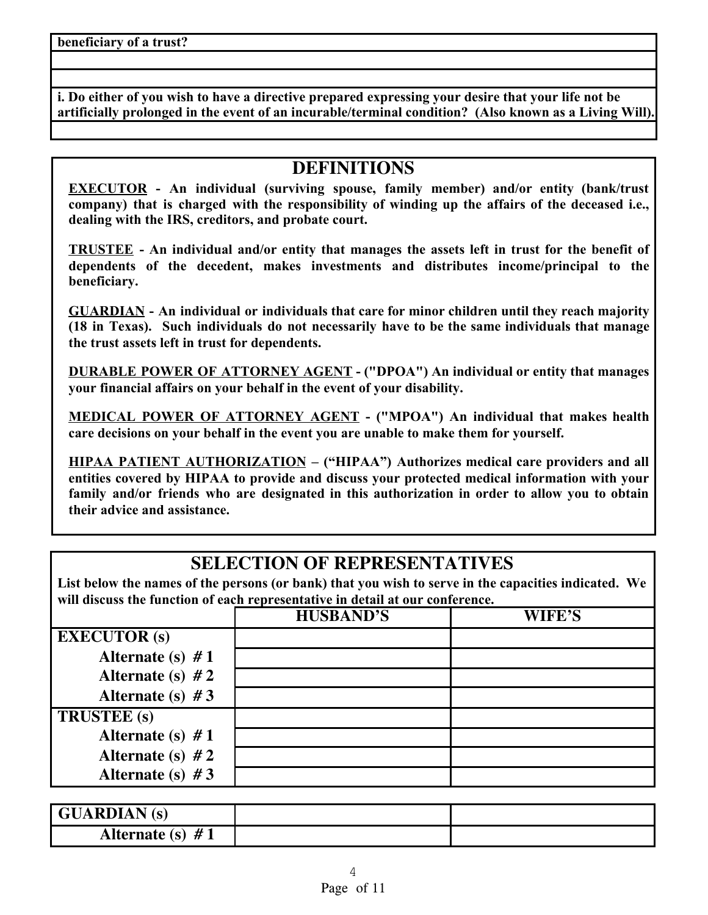**i. Do either of you wish to have a directive prepared expressing your desire that your life not be artificially prolonged in the event of an incurable/terminal condition? (Also known as a Living Will).**

# **DEFINITIONS**

**EXECUTOR - An individual (surviving spouse, family member) and/or entity (bank/trust company) that is charged with the responsibility of winding up the affairs of the deceased i.e., dealing with the IRS, creditors, and probate court.**

**TRUSTEE - An individual and/or entity that manages the assets left in trust for the benefit of dependents of the decedent, makes investments and distributes income/principal to the beneficiary.**

**GUARDIAN - An individual or individuals that care for minor children until they reach majority (18 in Texas). Such individuals do not necessarily have to be the same individuals that manage the trust assets left in trust for dependents.**

**DURABLE POWER OF ATTORNEY AGENT - ("DPOA") An individual or entity that manages your financial affairs on your behalf in the event of your disability.**

**MEDICAL POWER OF ATTORNEY AGENT - ("MPOA") An individual that makes health care decisions on your behalf in the event you are unable to make them for yourself.**

**HIPAA PATIENT AUTHORIZATION – ("HIPAA") Authorizes medical care providers and all entities covered by HIPAA to provide and discuss your protected medical information with your family and/or friends who are designated in this authorization in order to allow you to obtain their advice and assistance.**

# **SELECTION OF REPRESENTATIVES**

**List below the names of the persons (or bank) that you wish to serve in the capacities indicated. We will discuss the function of each representative in detail at our conference.**

|                     | <b>HUSBAND'S</b> | WIFE'S |
|---------------------|------------------|--------|
| <b>EXECUTOR</b> (s) |                  |        |
| Alternate (s) $#1$  |                  |        |
| Alternate (s) $#2$  |                  |        |
| Alternate (s) $#3$  |                  |        |
| <b>TRUSTEE</b> (s)  |                  |        |
| Alternate (s) $#1$  |                  |        |
| Alternate (s) $#2$  |                  |        |
| Alternate (s) $#3$  |                  |        |

| <b>GUARDIAN</b> (s) |  |
|---------------------|--|
| Alternate (s) $#1$  |  |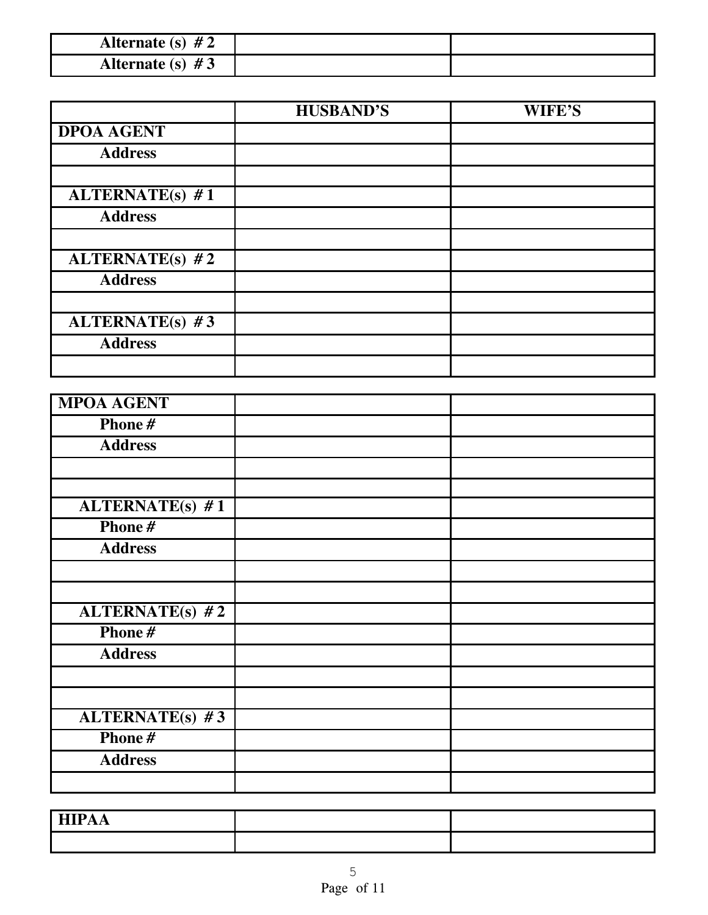| Alternate (s) $#2$ |  |
|--------------------|--|
| Alternate (s) $#3$ |  |

|                   | <b>HUSBAND'S</b> | WIFE'S |
|-------------------|------------------|--------|
| <b>DPOA AGENT</b> |                  |        |
| <b>Address</b>    |                  |        |
|                   |                  |        |
| $ALTERNATE(s)$ #1 |                  |        |
| <b>Address</b>    |                  |        |
|                   |                  |        |
| ALTERNATE(s) $#2$ |                  |        |
| <b>Address</b>    |                  |        |
|                   |                  |        |
| ALTERNATE(s) $#3$ |                  |        |
| <b>Address</b>    |                  |        |
|                   |                  |        |

| <b>MPOA AGENT</b>      |  |
|------------------------|--|
| Phone#                 |  |
| <b>Address</b>         |  |
|                        |  |
|                        |  |
| <b>ALTERNATE(s) #1</b> |  |
| Phone#                 |  |
| <b>Address</b>         |  |
|                        |  |
|                        |  |
| $ALTERNATE(s)$ #2      |  |
| Phone#                 |  |
| <b>Address</b>         |  |
|                        |  |
|                        |  |
| <b>ALTERNATE(s) #3</b> |  |
| Phone#                 |  |
| <b>Address</b>         |  |
|                        |  |

| $\sim$ - $\sim$ $\sim$<br>HIFAA |  |
|---------------------------------|--|
|                                 |  |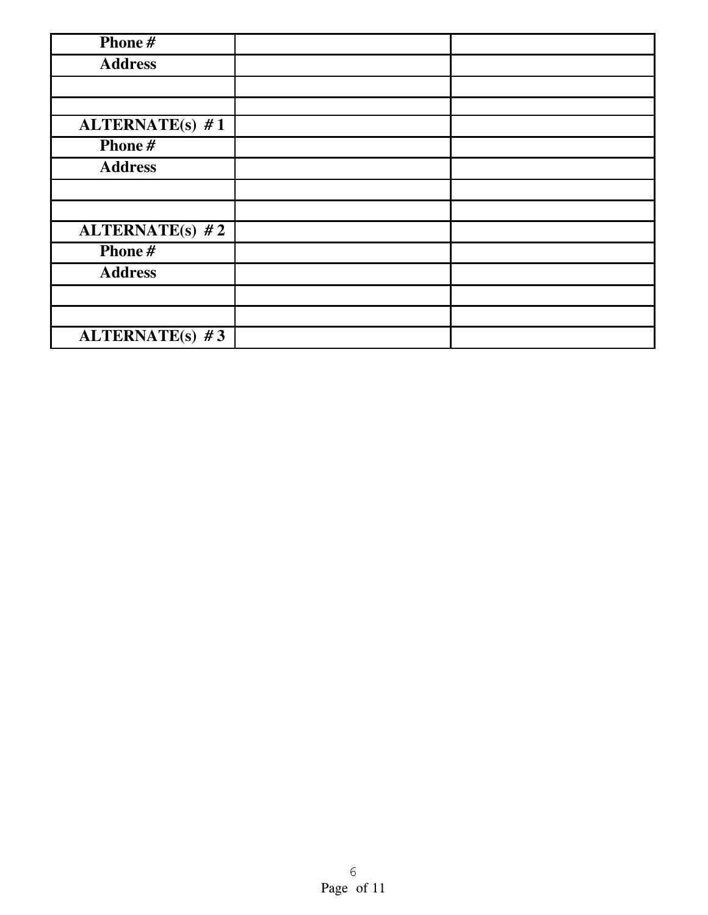| Phone#                 |  |
|------------------------|--|
| <b>Address</b>         |  |
|                        |  |
|                        |  |
| <b>ALTERNATE(s)</b> #1 |  |
| Phone#                 |  |
| <b>Address</b>         |  |
|                        |  |
|                        |  |
| ALTERNATE(s) $#2$      |  |
| Phone#                 |  |
| <b>Address</b>         |  |
|                        |  |
|                        |  |
| ALTERNATE(s) $#3$      |  |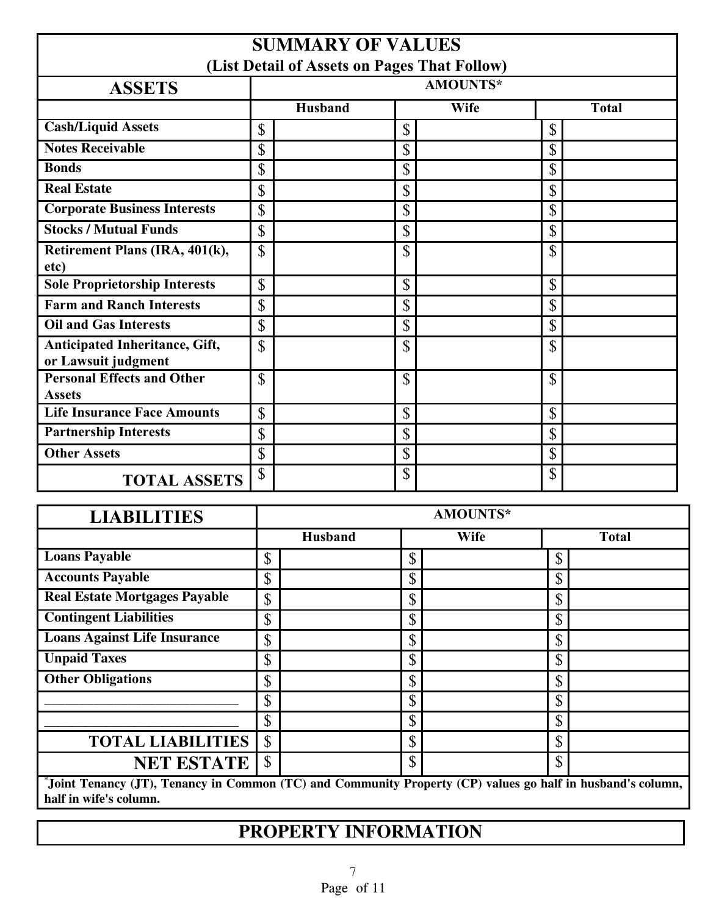### **SUMMARY OF VALUES (List Detail of Assets on Pages That Follow)**

| (List Detail of Assets on Pages That Pollow)          |                 |             |              |  |
|-------------------------------------------------------|-----------------|-------------|--------------|--|
| <b>ASSETS</b>                                         | <b>AMOUNTS*</b> |             |              |  |
|                                                       | <b>Husband</b>  | <b>Wife</b> | <b>Total</b> |  |
| <b>Cash/Liquid Assets</b>                             | $\mathbb{S}$    | \$          | \$           |  |
| <b>Notes Receivable</b>                               | \$              | \$          | \$           |  |
| <b>Bonds</b>                                          | $\mathbb{S}$    | \$          | \$           |  |
| <b>Real Estate</b>                                    | $\mathbb{S}$    | \$          | \$           |  |
| <b>Corporate Business Interests</b>                   | \$              | \$          | \$           |  |
| <b>Stocks / Mutual Funds</b>                          | \$              | \$          | \$           |  |
| Retirement Plans (IRA, 401(k),<br>etc)                | $\mathbb{S}$    | \$          | \$           |  |
| <b>Sole Proprietorship Interests</b>                  | \$              | \$          | \$           |  |
| <b>Farm and Ranch Interests</b>                       | \$              | \$          | \$           |  |
| <b>Oil and Gas Interests</b>                          | $\mathbb{S}$    | \$          | $\mathbb{S}$ |  |
| Anticipated Inheritance, Gift,<br>or Lawsuit judgment | \$              | \$          | \$           |  |
| <b>Personal Effects and Other</b><br><b>Assets</b>    | \$              | \$          | \$           |  |
| <b>Life Insurance Face Amounts</b>                    | $\mathbb{S}$    | \$          | \$           |  |
| <b>Partnership Interests</b>                          | $\mathbb{S}$    | \$          | \$           |  |
| <b>Other Assets</b>                                   | $\mathbb{S}$    | \$          | \$           |  |
| <b>TOTAL ASSETS</b>                                   | \$              | \$          | \$           |  |

| <b>LIABILITIES</b>                                                                                          |                | AMOUNTS*    |              |  |
|-------------------------------------------------------------------------------------------------------------|----------------|-------------|--------------|--|
|                                                                                                             | <b>Husband</b> | <b>Wife</b> | <b>Total</b> |  |
| <b>Loans Payable</b>                                                                                        | \$             | ¢<br>D      | ¢<br>D       |  |
| <b>Accounts Payable</b>                                                                                     | \$             | ጦ<br>D      | D            |  |
| <b>Real Estate Mortgages Payable</b>                                                                        | $\mathsf S$    | ¢<br>D      | \$           |  |
| <b>Contingent Liabilities</b>                                                                               | \$             | \$          | $\mathbb{S}$ |  |
| <b>Loans Against Life Insurance</b>                                                                         | \$             | ጦ<br>D      | $\mathbb{S}$ |  |
| <b>Unpaid Taxes</b>                                                                                         | $\mathsf S$    | \$          | \$           |  |
| <b>Other Obligations</b>                                                                                    | \$             | \$          | $\mathbb{S}$ |  |
|                                                                                                             | \$             | ¢<br>D      | Φ<br>D       |  |
|                                                                                                             | \$             | Φ<br>J)     | \$           |  |
| <b>TOTAL LIABILITIES</b>                                                                                    | $\mathcal{S}$  | \$          | \$           |  |
| <b>NET ESTATE</b>                                                                                           | \$             | ¢<br>۰D     | $\mathbb{S}$ |  |
| "Joint Tenancy (JT), Tenancy in Common (TC) and Community Property (CP) values go half in husband's column, |                |             |              |  |

**half in wife's column.**

# **PROPERTY INFORMATION**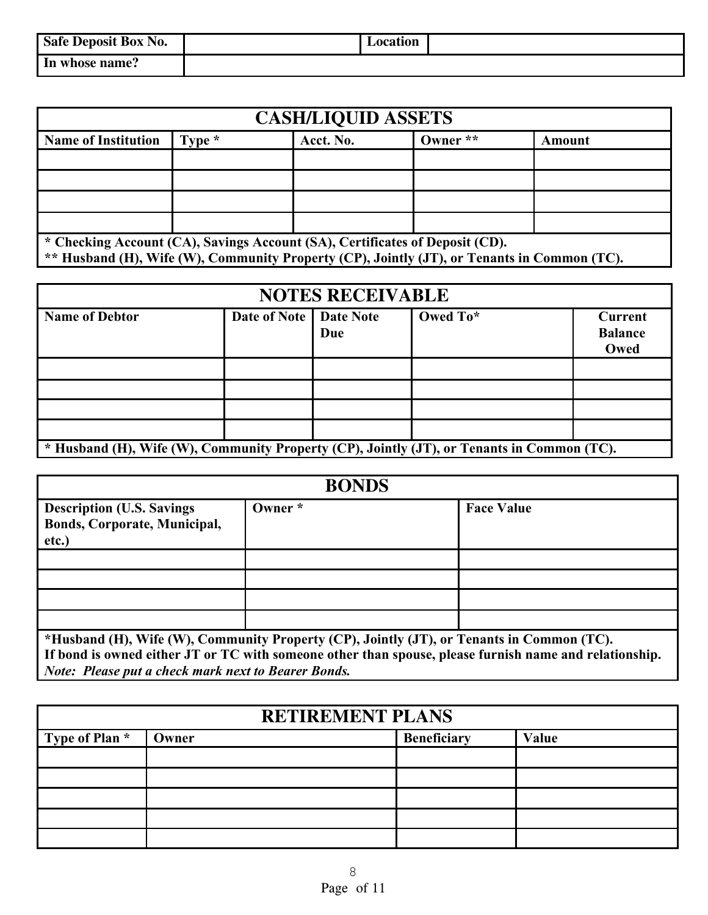| Safe Deposit Box No. | Location |  |
|----------------------|----------|--|
| In whose name?       |          |  |

| <b>CASH/LIQUID ASSETS</b>                                                                                                                                                   |          |           |            |        |  |  |  |
|-----------------------------------------------------------------------------------------------------------------------------------------------------------------------------|----------|-----------|------------|--------|--|--|--|
| <b>Name of Institution</b>                                                                                                                                                  | Type $*$ | Acct. No. | Owner $**$ | Amount |  |  |  |
|                                                                                                                                                                             |          |           |            |        |  |  |  |
|                                                                                                                                                                             |          |           |            |        |  |  |  |
|                                                                                                                                                                             |          |           |            |        |  |  |  |
|                                                                                                                                                                             |          |           |            |        |  |  |  |
| * Checking Account (CA), Savings Account (SA), Certificates of Deposit (CD).<br>** Husband (H), Wife (W), Community Property (CP), Jointly (JT), or Tenants in Common (TC). |          |           |            |        |  |  |  |

| <b>NOTES RECEIVABLE</b>                                                                    |                          |     |          |                                          |
|--------------------------------------------------------------------------------------------|--------------------------|-----|----------|------------------------------------------|
| <b>Name of Debtor</b>                                                                      | Date of Note   Date Note | Due | Owed To* | <b>Current</b><br><b>Balance</b><br>Owed |
|                                                                                            |                          |     |          |                                          |
|                                                                                            |                          |     |          |                                          |
|                                                                                            |                          |     |          |                                          |
|                                                                                            |                          |     |          |                                          |
| * Husband (H), Wife (W), Community Property (CP), Jointly (JT), or Tenants in Common (TC). |                          |     |          |                                          |

| <b>BONDS</b>                                                               |                                                                                           |                                                                                                        |  |  |
|----------------------------------------------------------------------------|-------------------------------------------------------------------------------------------|--------------------------------------------------------------------------------------------------------|--|--|
| <b>Description (U.S. Savings)</b><br>Bonds, Corporate, Municipal,<br>etc.) | Owner *                                                                                   | <b>Face Value</b>                                                                                      |  |  |
|                                                                            |                                                                                           |                                                                                                        |  |  |
|                                                                            |                                                                                           |                                                                                                        |  |  |
|                                                                            |                                                                                           |                                                                                                        |  |  |
|                                                                            |                                                                                           |                                                                                                        |  |  |
| <b>Note: Please put a check mark next to Bearer Bonds.</b>                 | *Husband (H), Wife (W), Community Property (CP), Jointly (JT), or Tenants in Common (TC). | If bond is owned either JT or TC with someone other than spouse, please furnish name and relationship. |  |  |

| <b>RETIREMENT PLANS</b> |       |                    |       |  |
|-------------------------|-------|--------------------|-------|--|
| Type of Plan *          | Owner | <b>Beneficiary</b> | Value |  |
|                         |       |                    |       |  |
|                         |       |                    |       |  |
|                         |       |                    |       |  |
|                         |       |                    |       |  |
|                         |       |                    |       |  |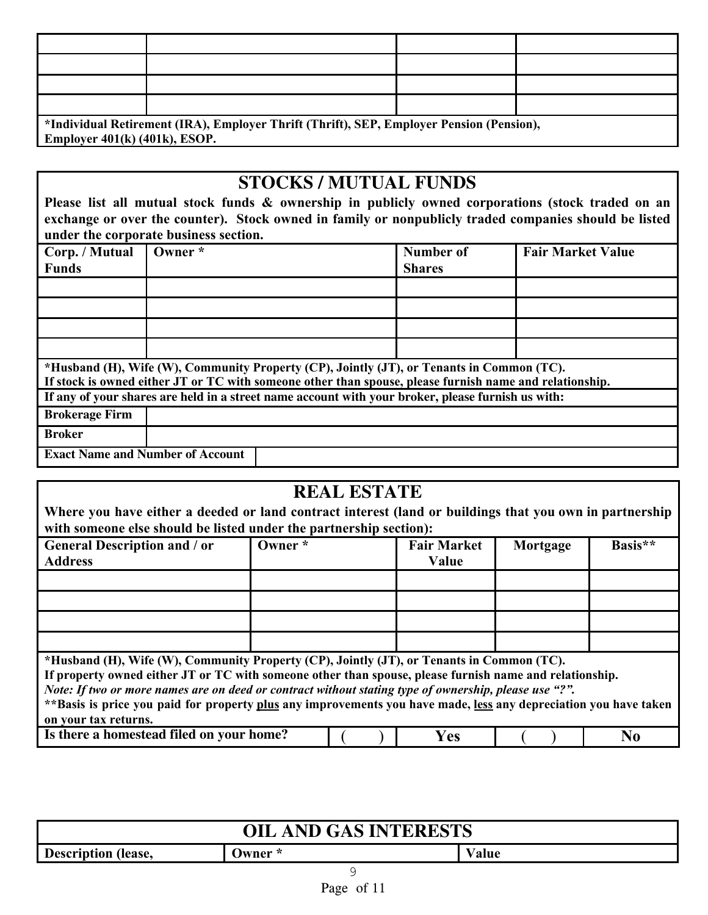| *Individual Retirement (IRA), Employer Thrift (Thrift), SEP, Employer Pension (Pension), |                                 |  |  |  |  |
|------------------------------------------------------------------------------------------|---------------------------------|--|--|--|--|
|                                                                                          | Employer $401(k)$ (401k), ESOP. |  |  |  |  |

# **STOCKS / MUTUAL FUNDS**

**Please list all mutual stock funds & ownership in publicly owned corporations (stock traded on an exchange or over the counter). Stock owned in family or nonpublicly traded companies should be listed under the corporate business section.**

| Corp. / Mutual        | Owner *                                 |                                                                                                                                                                                                      | Number of     | <b>Fair Market Value</b> |  |  |
|-----------------------|-----------------------------------------|------------------------------------------------------------------------------------------------------------------------------------------------------------------------------------------------------|---------------|--------------------------|--|--|
| <b>Funds</b>          |                                         |                                                                                                                                                                                                      | <b>Shares</b> |                          |  |  |
|                       |                                         |                                                                                                                                                                                                      |               |                          |  |  |
|                       |                                         |                                                                                                                                                                                                      |               |                          |  |  |
|                       |                                         |                                                                                                                                                                                                      |               |                          |  |  |
|                       |                                         |                                                                                                                                                                                                      |               |                          |  |  |
|                       |                                         | *Husband (H), Wife (W), Community Property (CP), Jointly (JT), or Tenants in Common (TC).<br>If stock is owned either JT or TC with someone other than spouse, please furnish name and relationship. |               |                          |  |  |
|                       |                                         | If any of your shares are held in a street name account with your broker, please furnish us with:                                                                                                    |               |                          |  |  |
| <b>Brokerage Firm</b> |                                         |                                                                                                                                                                                                      |               |                          |  |  |
| <b>Broker</b>         |                                         |                                                                                                                                                                                                      |               |                          |  |  |
|                       | <b>Exact Name and Number of Account</b> |                                                                                                                                                                                                      |               |                          |  |  |

# **REAL ESTATE**

Where you have either a deeded or land contract interest (land or buildings that you own in partnership **with someone else should be listed under the partnership section):**

| <b>General Description and / or</b>                                                                              | Owner * | <b>Fair Market</b> | Mortgage | Basis** |  |  |
|------------------------------------------------------------------------------------------------------------------|---------|--------------------|----------|---------|--|--|
| <b>Address</b>                                                                                                   |         | Value              |          |         |  |  |
|                                                                                                                  |         |                    |          |         |  |  |
|                                                                                                                  |         |                    |          |         |  |  |
|                                                                                                                  |         |                    |          |         |  |  |
|                                                                                                                  |         |                    |          |         |  |  |
|                                                                                                                  |         |                    |          |         |  |  |
|                                                                                                                  |         |                    |          |         |  |  |
|                                                                                                                  |         |                    |          |         |  |  |
|                                                                                                                  |         |                    |          |         |  |  |
|                                                                                                                  |         |                    |          |         |  |  |
| *Husband (H), Wife (W), Community Property (CP), Jointly (JT), or Tenants in Common (TC).                        |         |                    |          |         |  |  |
| If property owned either JT or TC with someone other than spouse, please furnish name and relationship.          |         |                    |          |         |  |  |
| Note: If two or more names are on deed or contract without stating type of ownership, please use "?".            |         |                    |          |         |  |  |
| **Basis is price you paid for property plus any improvements you have made, less any depreciation you have taken |         |                    |          |         |  |  |
|                                                                                                                  |         |                    |          |         |  |  |
| on your tax returns.                                                                                             |         |                    |          |         |  |  |

| - on your tax returns.                   |                   |  |
|------------------------------------------|-------------------|--|
| Is there a homestead filed on your home? | $\mathbf{\Omega}$ |  |

| <b>OIL AND GAS INTERESTS</b> |         |       |  |  |
|------------------------------|---------|-------|--|--|
| <b>Description (lease,</b>   | Owner * | Value |  |  |
|                              |         |       |  |  |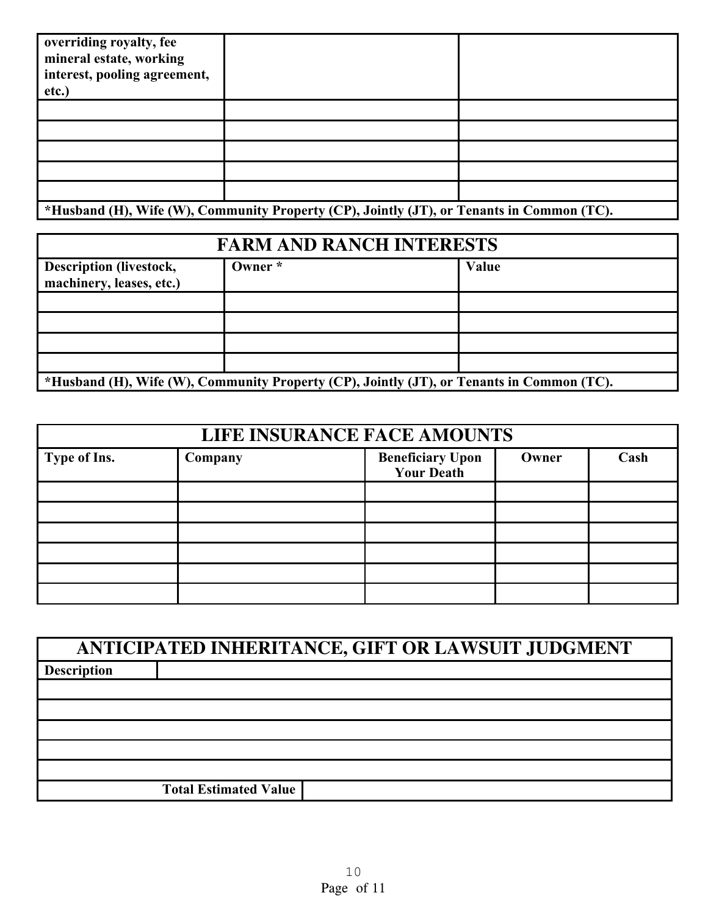$\sim$ 

**\*Husband (H), Wife (W), Community Property (CP), Jointly (JT), or Tenants in Common (TC).**

| <b>FARM AND RANCH INTERESTS</b>                                                           |         |       |  |  |
|-------------------------------------------------------------------------------------------|---------|-------|--|--|
| <b>Description (livestock,</b><br>machinery, leases, etc.)                                | Owner * | Value |  |  |
|                                                                                           |         |       |  |  |
|                                                                                           |         |       |  |  |
|                                                                                           |         |       |  |  |
|                                                                                           |         |       |  |  |
| *Husband (H), Wife (W), Community Property (CP), Jointly (JT), or Tenants in Common (TC). |         |       |  |  |

| LIFE INSURANCE FACE AMOUNTS |         |                                              |       |      |  |
|-----------------------------|---------|----------------------------------------------|-------|------|--|
| Type of Ins.                | Company | <b>Beneficiary Upon</b><br><b>Your Death</b> | Owner | Cash |  |
|                             |         |                                              |       |      |  |
|                             |         |                                              |       |      |  |
|                             |         |                                              |       |      |  |
|                             |         |                                              |       |      |  |
|                             |         |                                              |       |      |  |
|                             |         |                                              |       |      |  |

| ANTICIPATED INHERITANCE, GIFT OR LAWSUIT JUDGMENT |                              |  |  |  |
|---------------------------------------------------|------------------------------|--|--|--|
| <b>Description</b>                                |                              |  |  |  |
|                                                   |                              |  |  |  |
|                                                   |                              |  |  |  |
|                                                   |                              |  |  |  |
|                                                   |                              |  |  |  |
|                                                   |                              |  |  |  |
|                                                   | <b>Total Estimated Value</b> |  |  |  |